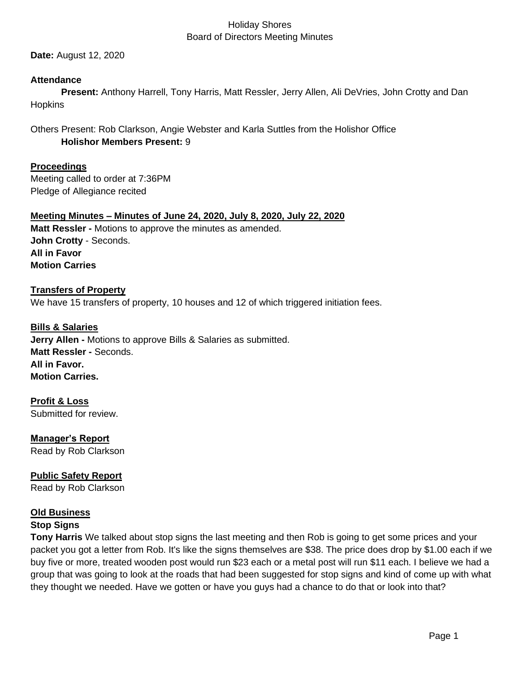**Date:** August 12, 2020

#### **Attendance**

**Present:** Anthony Harrell, Tony Harris, Matt Ressler, Jerry Allen, Ali DeVries, John Crotty and Dan Hopkins

Others Present: Rob Clarkson, Angie Webster and Karla Suttles from the Holishor Office **Holishor Members Present:** 9

**Proceedings** Meeting called to order at 7:36PM

Pledge of Allegiance recited

**Meeting Minutes – Minutes of June 24, 2020, July 8, 2020, July 22, 2020 Matt Ressler -** Motions to approve the minutes as amended. **John Crotty** - Seconds. **All in Favor Motion Carries**

# **Transfers of Property** We have 15 transfers of property, 10 houses and 12 of which triggered initiation fees.

**Bills & Salaries Jerry Allen -** Motions to approve Bills & Salaries as submitted. **Matt Ressler -** Seconds. **All in Favor. Motion Carries.**

**Profit & Loss** Submitted for review.

**Manager's Report** Read by Rob Clarkson

**Public Safety Report**  Read by Rob Clarkson

#### **Old Business Stop Signs**

**Tony Harris** We talked about stop signs the last meeting and then Rob is going to get some prices and your packet you got a letter from Rob. It's like the signs themselves are \$38. The price does drop by \$1.00 each if we buy five or more, treated wooden post would run \$23 each or a metal post will run \$11 each. I believe we had a group that was going to look at the roads that had been suggested for stop signs and kind of come up with what they thought we needed. Have we gotten or have you guys had a chance to do that or look into that?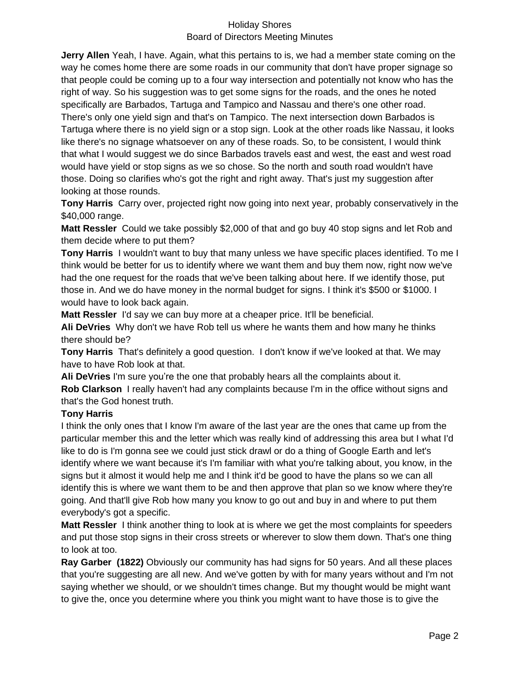**Jerry Allen** Yeah, I have. Again, what this pertains to is, we had a member state coming on the way he comes home there are some roads in our community that don't have proper signage so that people could be coming up to a four way intersection and potentially not know who has the right of way. So his suggestion was to get some signs for the roads, and the ones he noted specifically are Barbados, Tartuga and Tampico and Nassau and there's one other road.

There's only one yield sign and that's on Tampico. The next intersection down Barbados is Tartuga where there is no yield sign or a stop sign. Look at the other roads like Nassau, it looks like there's no signage whatsoever on any of these roads. So, to be consistent, I would think that what I would suggest we do since Barbados travels east and west, the east and west road would have yield or stop signs as we so chose. So the north and south road wouldn't have those. Doing so clarifies who's got the right and right away. That's just my suggestion after looking at those rounds.

**Tony Harris** Carry over, projected right now going into next year, probably conservatively in the \$40,000 range.

**Matt Ressler** Could we take possibly \$2,000 of that and go buy 40 stop signs and let Rob and them decide where to put them?

**Tony Harris** I wouldn't want to buy that many unless we have specific places identified. To me I think would be better for us to identify where we want them and buy them now, right now we've had the one request for the roads that we've been talking about here. If we identify those, put those in. And we do have money in the normal budget for signs. I think it's \$500 or \$1000. I would have to look back again.

**Matt Ressler** I'd say we can buy more at a cheaper price. It'll be beneficial.

**Ali DeVries** Why don't we have Rob tell us where he wants them and how many he thinks there should be?

**Tony Harris** That's definitely a good question. I don't know if we've looked at that. We may have to have Rob look at that.

**Ali DeVries** I'm sure you're the one that probably hears all the complaints about it. **Rob Clarkson** I really haven't had any complaints because I'm in the office without signs and that's the God honest truth.

## **Tony Harris**

I think the only ones that I know I'm aware of the last year are the ones that came up from the particular member this and the letter which was really kind of addressing this area but I what I'd like to do is I'm gonna see we could just stick drawl or do a thing of Google Earth and let's identify where we want because it's I'm familiar with what you're talking about, you know, in the signs but it almost it would help me and I think it'd be good to have the plans so we can all identify this is where we want them to be and then approve that plan so we know where they're going. And that'll give Rob how many you know to go out and buy in and where to put them everybody's got a specific.

**Matt Ressler** I think another thing to look at is where we get the most complaints for speeders and put those stop signs in their cross streets or wherever to slow them down. That's one thing to look at too.

**Ray Garber (1822)** Obviously our community has had signs for 50 years. And all these places that you're suggesting are all new. And we've gotten by with for many years without and I'm not saying whether we should, or we shouldn't times change. But my thought would be might want to give the, once you determine where you think you might want to have those is to give the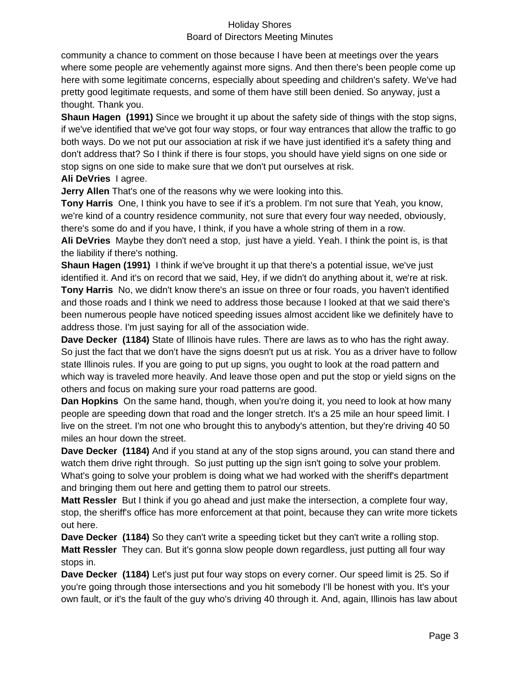community a chance to comment on those because I have been at meetings over the years where some people are vehemently against more signs. And then there's been people come up here with some legitimate concerns, especially about speeding and children's safety. We've had pretty good legitimate requests, and some of them have still been denied. So anyway, just a thought. Thank you.

**Shaun Hagen (1991)** Since we brought it up about the safety side of things with the stop signs, if we've identified that we've got four way stops, or four way entrances that allow the traffic to go both ways. Do we not put our association at risk if we have just identified it's a safety thing and don't address that? So I think if there is four stops, you should have yield signs on one side or stop signs on one side to make sure that we don't put ourselves at risk.

#### **Ali DeVries** I agree.

**Jerry Allen** That's one of the reasons why we were looking into this.

**Tony Harris** One, I think you have to see if it's a problem. I'm not sure that Yeah, you know, we're kind of a country residence community, not sure that every four way needed, obviously, there's some do and if you have, I think, if you have a whole string of them in a row.

**Ali DeVries** Maybe they don't need a stop, just have a yield. Yeah. I think the point is, is that the liability if there's nothing.

**Shaun Hagen (1991)** I think if we've brought it up that there's a potential issue, we've just identified it. And it's on record that we said, Hey, if we didn't do anything about it, we're at risk. **Tony Harris** No, we didn't know there's an issue on three or four roads, you haven't identified and those roads and I think we need to address those because I looked at that we said there's been numerous people have noticed speeding issues almost accident like we definitely have to address those. I'm just saying for all of the association wide.

**Dave Decker (1184)** State of Illinois have rules. There are laws as to who has the right away. So just the fact that we don't have the signs doesn't put us at risk. You as a driver have to follow state Illinois rules. If you are going to put up signs, you ought to look at the road pattern and which way is traveled more heavily. And leave those open and put the stop or yield signs on the others and focus on making sure your road patterns are good.

**Dan Hopkins** On the same hand, though, when you're doing it, you need to look at how many people are speeding down that road and the longer stretch. It's a 25 mile an hour speed limit. I live on the street. I'm not one who brought this to anybody's attention, but they're driving 40 50 miles an hour down the street.

**Dave Decker (1184)** And if you stand at any of the stop signs around, you can stand there and watch them drive right through. So just putting up the sign isn't going to solve your problem. What's going to solve your problem is doing what we had worked with the sheriff's department and bringing them out here and getting them to patrol our streets.

**Matt Ressler** But I think if you go ahead and just make the intersection, a complete four way, stop, the sheriff's office has more enforcement at that point, because they can write more tickets out here.

**Dave Decker (1184)** So they can't write a speeding ticket but they can't write a rolling stop. **Matt Ressler** They can. But it's gonna slow people down regardless, just putting all four way stops in.

**Dave Decker (1184)** Let's just put four way stops on every corner. Our speed limit is 25. So if you're going through those intersections and you hit somebody I'll be honest with you. It's your own fault, or it's the fault of the guy who's driving 40 through it. And, again, Illinois has law about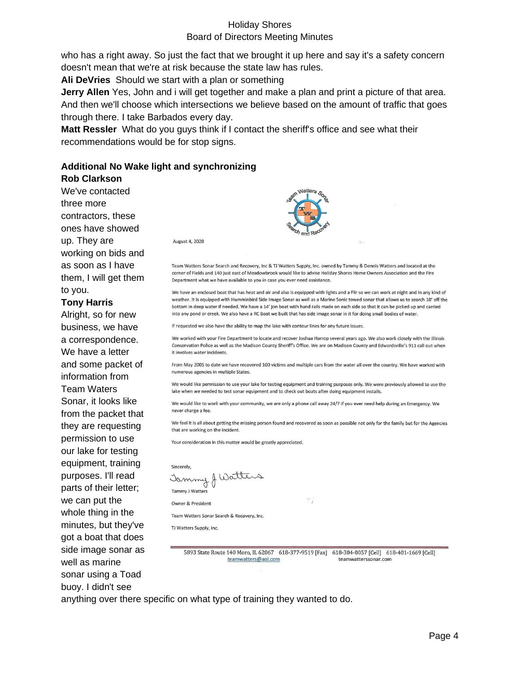who has a right away. So just the fact that we brought it up here and say it's a safety concern doesn't mean that we're at risk because the state law has rules.

**Ali DeVries** Should we start with a plan or something

**Jerry Allen** Yes, John and i will get together and make a plan and print a picture of that area. And then we'll choose which intersections we believe based on the amount of traffic that goes through there. I take Barbados every day.

**Matt Ressler** What do you guys think if I contact the sheriff's office and see what their recommendations would be for stop signs.

# **Additional No Wake light and synchronizing**

#### **Rob Clarkson**

We've contacted three more contractors, these ones have showed up. They are working on bids and as soon as I have them, I will get them to you.

#### **Tony Harris**

Alright, so for new business, we have a correspondence. We have a letter and some packet of information from Team Waters Sonar, it looks like from the packet that they are requesting permission to use our lake for testing equipment, training purposes. I'll read parts of their letter; we can put the whole thing in the minutes, but they've got a boat that does side image sonar as well as marine sonar using a Toad buoy. I didn't see



August 4, 2020

Team Watters Sonar Search and Recovery, Inc & TJ Watters Supply, Inc. owned by Tammy & Dennis Watters and located at the corner of Fields and 140 just east of Meadowbrook would like to advise Holiday Shores Home Owners Association and the Fire Department what we have available to you in case you ever need assistance.

We have an enclosed boat that has heat and air and also is equipped with lights and a Flir so we can work at night and in any kind of weather. It is equipped with Humminbird Side Image Sonar as well as a Marine Sonic towed sonar that allows us to search 10' off the bottom in deep water if needed. We have a 14' ion boat with hand rails made on each side so that it can be picked up and carried into any pond or creek. We also have a RC Boat we built that has side image sonar in it for doing small bodies of water

If requested we also have the ability to map the lake with contour lines for any future issues.

We worked with your Fire Department to locate and recover Joshua Harrop several years ago. We also work closely with the Illinois Conservation Police as well as the Madison County Sheriff's Office. We are on Madison County and Edwardsville's 911 call out when it involves water incidents.

From May 2005 to date we have recovered 100 victims and multiple cars from the water all over the country. We have worked with numerous agencies in multiple States.

We would like permission to use your lake for testing equipment and training purposes only. We were previously allowed to use the lake when we needed to test sonar equipment and to check out boats after doing equipment installs.

We would like to work with your community, we are only a phone call away 24/7 if you ever need help during an Emergency. We never charge a fee.

We feel it is all about getting the missing person found and recovered as soon as possible not only for the family but for the Agencies that are working on the incident.

Your consideration in this matter would be greatly appreciated.

Jammy J Watter

Tammy J Watter Owner & President

Team Watters Sonar Search & Recovery, Inc.

TJ Watters Supply, Inc.

5893 State Route 140 Moro, IL 62067 618-377-9519 [Fax] 618-304-0057 [Cell] 618-401-1669 [Cell] teamwatters@aol.com teamwatterssonar.com

anything over there specific on what type of training they wanted to do.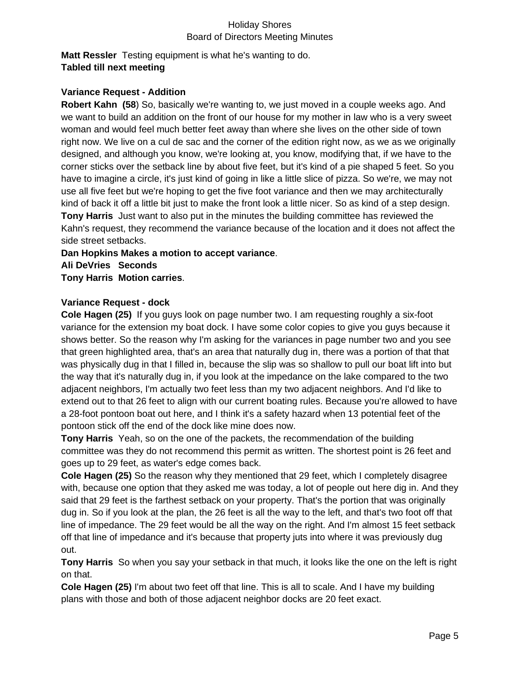**Matt Ressler** Testing equipment is what he's wanting to do. **Tabled till next meeting**

#### **Variance Request - Addition**

**Robert Kahn (58**) So, basically we're wanting to, we just moved in a couple weeks ago. And we want to build an addition on the front of our house for my mother in law who is a very sweet woman and would feel much better feet away than where she lives on the other side of town right now. We live on a cul de sac and the corner of the edition right now, as we as we originally designed, and although you know, we're looking at, you know, modifying that, if we have to the corner sticks over the setback line by about five feet, but it's kind of a pie shaped 5 feet. So you have to imagine a circle, it's just kind of going in like a little slice of pizza. So we're, we may not use all five feet but we're hoping to get the five foot variance and then we may architecturally kind of back it off a little bit just to make the front look a little nicer. So as kind of a step design. **Tony Harris** Just want to also put in the minutes the building committee has reviewed the Kahn's request, they recommend the variance because of the location and it does not affect the side street setbacks.

**Dan Hopkins Makes a motion to accept variance**. **Ali DeVries Seconds Tony Harris Motion carries**.

#### **Variance Request - dock**

**Cole Hagen (25)** If you guys look on page number two. I am requesting roughly a six-foot variance for the extension my boat dock. I have some color copies to give you guys because it shows better. So the reason why I'm asking for the variances in page number two and you see that green highlighted area, that's an area that naturally dug in, there was a portion of that that was physically dug in that I filled in, because the slip was so shallow to pull our boat lift into but the way that it's naturally dug in, if you look at the impedance on the lake compared to the two adjacent neighbors, I'm actually two feet less than my two adjacent neighbors. And I'd like to extend out to that 26 feet to align with our current boating rules. Because you're allowed to have a 28-foot pontoon boat out here, and I think it's a safety hazard when 13 potential feet of the pontoon stick off the end of the dock like mine does now.

**Tony Harris** Yeah, so on the one of the packets, the recommendation of the building committee was they do not recommend this permit as written. The shortest point is 26 feet and goes up to 29 feet, as water's edge comes back.

**Cole Hagen (25)** So the reason why they mentioned that 29 feet, which I completely disagree with, because one option that they asked me was today, a lot of people out here dig in. And they said that 29 feet is the farthest setback on your property. That's the portion that was originally dug in. So if you look at the plan, the 26 feet is all the way to the left, and that's two foot off that line of impedance. The 29 feet would be all the way on the right. And I'm almost 15 feet setback off that line of impedance and it's because that property juts into where it was previously dug out.

**Tony Harris** So when you say your setback in that much, it looks like the one on the left is right on that.

**Cole Hagen (25)** I'm about two feet off that line. This is all to scale. And I have my building plans with those and both of those adjacent neighbor docks are 20 feet exact.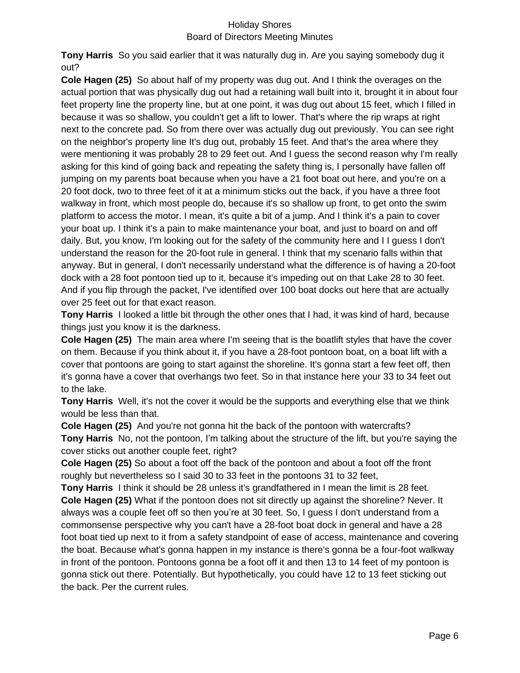**Tony Harris** So you said earlier that it was naturally dug in. Are you saying somebody dug it out?

**Cole Hagen (25)** So about half of my property was dug out. And I think the overages on the actual portion that was physically dug out had a retaining wall built into it, brought it in about four feet property line the property line, but at one point, it was dug out about 15 feet, which I filled in because it was so shallow, you couldn't get a lift to lower. That's where the rip wraps at right next to the concrete pad. So from there over was actually dug out previously. You can see right on the neighbor's property line It's dug out, probably 15 feet. And that's the area where they were mentioning it was probably 28 to 29 feet out. And I guess the second reason why I'm really asking for this kind of going back and repeating the safety thing is, I personally have fallen off jumping on my parents boat because when you have a 21 foot boat out here, and you're on a 20 foot dock, two to three feet of it at a minimum sticks out the back, if you have a three foot walkway in front, which most people do, because it's so shallow up front, to get onto the swim platform to access the motor. I mean, it's quite a bit of a jump. And I think it's a pain to cover your boat up. I think it's a pain to make maintenance your boat, and just to board on and off daily. But, you know, I'm looking out for the safety of the community here and I I guess I don't understand the reason for the 20-foot rule in general. I think that my scenario falls within that anyway. But in general, I don't necessarily understand what the difference is of having a 20-foot dock with a 28 foot pontoon tied up to it, because it's impeding out on that Lake 28 to 30 feet. And if you flip through the packet, I've identified over 100 boat docks out here that are actually over 25 feet out for that exact reason.

**Tony Harris** I looked a little bit through the other ones that I had, it was kind of hard, because things just you know it is the darkness.

**Cole Hagen (25)** The main area where I'm seeing that is the boatlift styles that have the cover on them. Because if you think about it, if you have a 28-foot pontoon boat, on a boat lift with a cover that pontoons are going to start against the shoreline. It's gonna start a few feet off, then it's gonna have a cover that overhangs two feet. So in that instance here your 33 to 34 feet out to the lake.

**Tony Harris** Well, it's not the cover it would be the supports and everything else that we think would be less than that.

**Cole Hagen (25)** And you're not gonna hit the back of the pontoon with watercrafts?

**Tony Harris** No, not the pontoon, I'm talking about the structure of the lift, but you're saying the cover sticks out another couple feet, right?

**Cole Hagen (25)** So about a foot off the back of the pontoon and about a foot off the front roughly but nevertheless so I said 30 to 33 feet in the pontoons 31 to 32 feet,

**Tony Harris** I think it should be 28 unless it's grandfathered in I mean the limit is 28 feet. **Cole Hagen (25)** What if the pontoon does not sit directly up against the shoreline? Never. It always was a couple feet off so then you're at 30 feet. So, I guess I don't understand from a commonsense perspective why you can't have a 28-foot boat dock in general and have a 28 foot boat tied up next to it from a safety standpoint of ease of access, maintenance and covering the boat. Because what's gonna happen in my instance is there's gonna be a four-foot walkway in front of the pontoon. Pontoons gonna be a foot off it and then 13 to 14 feet of my pontoon is gonna stick out there. Potentially. But hypothetically, you could have 12 to 13 feet sticking out the back. Per the current rules.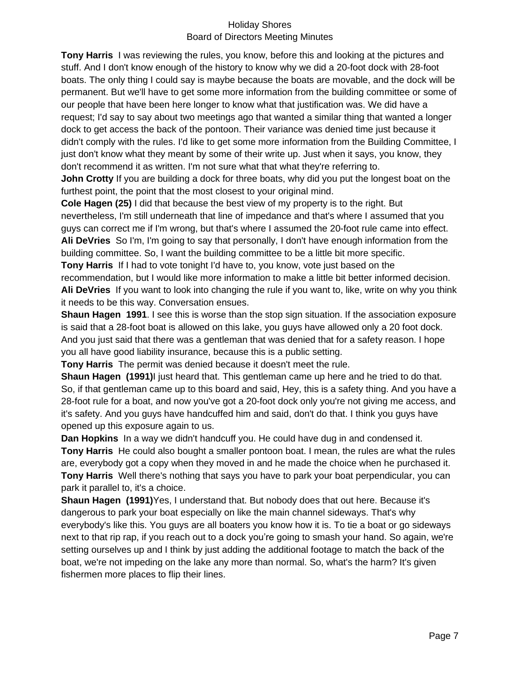**Tony Harris** I was reviewing the rules, you know, before this and looking at the pictures and stuff. And I don't know enough of the history to know why we did a 20-foot dock with 28-foot boats. The only thing I could say is maybe because the boats are movable, and the dock will be permanent. But we'll have to get some more information from the building committee or some of our people that have been here longer to know what that justification was. We did have a request; I'd say to say about two meetings ago that wanted a similar thing that wanted a longer dock to get access the back of the pontoon. Their variance was denied time just because it didn't comply with the rules. I'd like to get some more information from the Building Committee, I just don't know what they meant by some of their write up. Just when it says, you know, they don't recommend it as written. I'm not sure what that what they're referring to.

**John Crotty** If you are building a dock for three boats, why did you put the longest boat on the furthest point, the point that the most closest to your original mind.

**Cole Hagen (25)** I did that because the best view of my property is to the right. But nevertheless, I'm still underneath that line of impedance and that's where I assumed that you guys can correct me if I'm wrong, but that's where I assumed the 20-foot rule came into effect. **Ali DeVries** So I'm, I'm going to say that personally, I don't have enough information from the building committee. So, I want the building committee to be a little bit more specific.

**Tony Harris** If I had to vote tonight I'd have to, you know, vote just based on the recommendation, but I would like more information to make a little bit better informed decision. **Ali DeVries** If you want to look into changing the rule if you want to, like, write on why you think it needs to be this way. Conversation ensues.

**Shaun Hagen 1991**. I see this is worse than the stop sign situation. If the association exposure is said that a 28-foot boat is allowed on this lake, you guys have allowed only a 20 foot dock. And you just said that there was a gentleman that was denied that for a safety reason. I hope you all have good liability insurance, because this is a public setting.

**Tony Harris** The permit was denied because it doesn't meet the rule.

**Shaun Hagen (1991)**I just heard that. This gentleman came up here and he tried to do that. So, if that gentleman came up to this board and said, Hey, this is a safety thing. And you have a 28-foot rule for a boat, and now you've got a 20-foot dock only you're not giving me access, and it's safety. And you guys have handcuffed him and said, don't do that. I think you guys have opened up this exposure again to us.

**Dan Hopkins** In a way we didn't handcuff you. He could have dug in and condensed it. **Tony Harris** He could also bought a smaller pontoon boat. I mean, the rules are what the rules are, everybody got a copy when they moved in and he made the choice when he purchased it. **Tony Harris** Well there's nothing that says you have to park your boat perpendicular, you can park it parallel to, it's a choice.

**Shaun Hagen (1991)**Yes, I understand that. But nobody does that out here. Because it's dangerous to park your boat especially on like the main channel sideways. That's why everybody's like this. You guys are all boaters you know how it is. To tie a boat or go sideways next to that rip rap, if you reach out to a dock you're going to smash your hand. So again, we're setting ourselves up and I think by just adding the additional footage to match the back of the boat, we're not impeding on the lake any more than normal. So, what's the harm? It's given fishermen more places to flip their lines.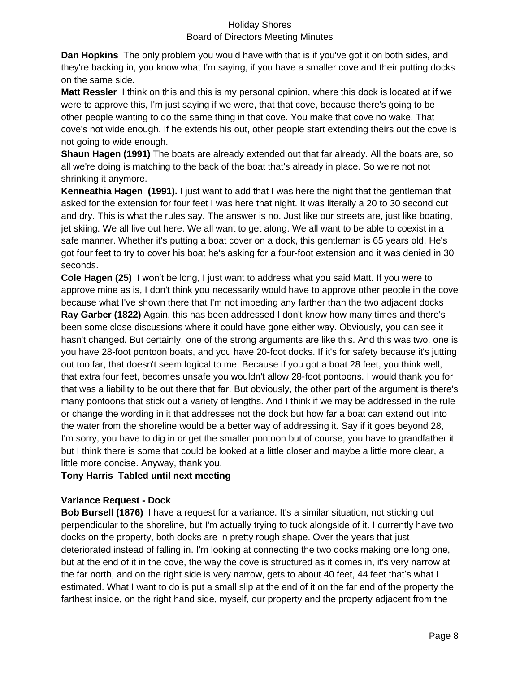**Dan Hopkins** The only problem you would have with that is if you've got it on both sides, and they're backing in, you know what I'm saying, if you have a smaller cove and their putting docks on the same side.

**Matt Ressler** I think on this and this is my personal opinion, where this dock is located at if we were to approve this, I'm just saying if we were, that that cove, because there's going to be other people wanting to do the same thing in that cove. You make that cove no wake. That cove's not wide enough. If he extends his out, other people start extending theirs out the cove is not going to wide enough.

**Shaun Hagen (1991)** The boats are already extended out that far already. All the boats are, so all we're doing is matching to the back of the boat that's already in place. So we're not not shrinking it anymore.

**Kenneathia Hagen (1991).** I just want to add that I was here the night that the gentleman that asked for the extension for four feet I was here that night. It was literally a 20 to 30 second cut and dry. This is what the rules say. The answer is no. Just like our streets are, just like boating, jet skiing. We all live out here. We all want to get along. We all want to be able to coexist in a safe manner. Whether it's putting a boat cover on a dock, this gentleman is 65 years old. He's got four feet to try to cover his boat he's asking for a four-foot extension and it was denied in 30 seconds.

**Cole Hagen (25)** I won't be long, I just want to address what you said Matt. If you were to approve mine as is, I don't think you necessarily would have to approve other people in the cove because what I've shown there that I'm not impeding any farther than the two adjacent docks **Ray Garber (1822)** Again, this has been addressed I don't know how many times and there's been some close discussions where it could have gone either way. Obviously, you can see it hasn't changed. But certainly, one of the strong arguments are like this. And this was two, one is you have 28-foot pontoon boats, and you have 20-foot docks. If it's for safety because it's jutting out too far, that doesn't seem logical to me. Because if you got a boat 28 feet, you think well, that extra four feet, becomes unsafe you wouldn't allow 28-foot pontoons. I would thank you for that was a liability to be out there that far. But obviously, the other part of the argument is there's many pontoons that stick out a variety of lengths. And I think if we may be addressed in the rule or change the wording in it that addresses not the dock but how far a boat can extend out into the water from the shoreline would be a better way of addressing it. Say if it goes beyond 28, I'm sorry, you have to dig in or get the smaller pontoon but of course, you have to grandfather it but I think there is some that could be looked at a little closer and maybe a little more clear, a little more concise. Anyway, thank you.

## **Tony Harris Tabled until next meeting**

## **Variance Request - Dock**

**Bob Bursell (1876)** I have a request for a variance. It's a similar situation, not sticking out perpendicular to the shoreline, but I'm actually trying to tuck alongside of it. I currently have two docks on the property, both docks are in pretty rough shape. Over the years that just deteriorated instead of falling in. I'm looking at connecting the two docks making one long one, but at the end of it in the cove, the way the cove is structured as it comes in, it's very narrow at the far north, and on the right side is very narrow, gets to about 40 feet, 44 feet that's what I estimated. What I want to do is put a small slip at the end of it on the far end of the property the farthest inside, on the right hand side, myself, our property and the property adjacent from the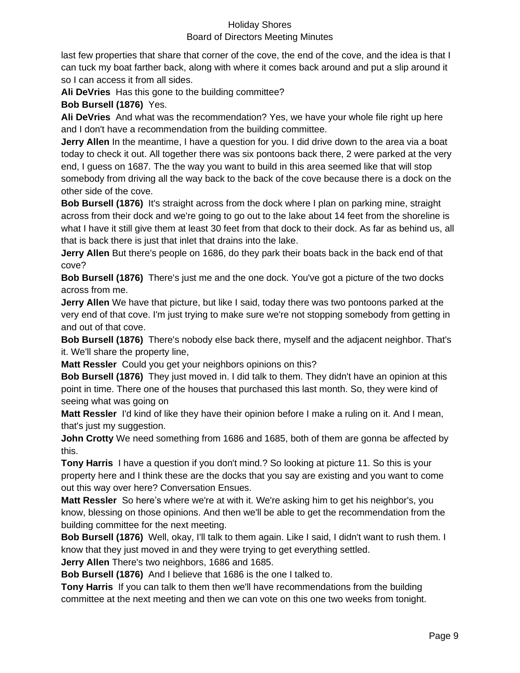last few properties that share that corner of the cove, the end of the cove, and the idea is that I can tuck my boat farther back, along with where it comes back around and put a slip around it so I can access it from all sides.

**Ali DeVries** Has this gone to the building committee?

**Bob Bursell (1876)** Yes.

**Ali DeVries** And what was the recommendation? Yes, we have your whole file right up here and I don't have a recommendation from the building committee.

**Jerry Allen** In the meantime, I have a question for you. I did drive down to the area via a boat today to check it out. All together there was six pontoons back there, 2 were parked at the very end, I guess on 1687. The the way you want to build in this area seemed like that will stop somebody from driving all the way back to the back of the cove because there is a dock on the other side of the cove.

**Bob Bursell (1876)** It's straight across from the dock where I plan on parking mine, straight across from their dock and we're going to go out to the lake about 14 feet from the shoreline is what I have it still give them at least 30 feet from that dock to their dock. As far as behind us, all that is back there is just that inlet that drains into the lake.

**Jerry Allen** But there's people on 1686, do they park their boats back in the back end of that cove?

**Bob Bursell (1876)** There's just me and the one dock. You've got a picture of the two docks across from me.

**Jerry Allen** We have that picture, but like I said, today there was two pontoons parked at the very end of that cove. I'm just trying to make sure we're not stopping somebody from getting in and out of that cove.

**Bob Bursell (1876)** There's nobody else back there, myself and the adjacent neighbor. That's it. We'll share the property line,

**Matt Ressler** Could you get your neighbors opinions on this?

**Bob Bursell (1876)** They just moved in. I did talk to them. They didn't have an opinion at this point in time. There one of the houses that purchased this last month. So, they were kind of seeing what was going on

**Matt Ressler** I'd kind of like they have their opinion before I make a ruling on it. And I mean, that's just my suggestion.

**John Crotty** We need something from 1686 and 1685, both of them are gonna be affected by this.

**Tony Harris** I have a question if you don't mind.? So looking at picture 11. So this is your property here and I think these are the docks that you say are existing and you want to come out this way over here? Conversation Ensues.

**Matt Ressler** So here's where we're at with it. We're asking him to get his neighbor's, you know, blessing on those opinions. And then we'll be able to get the recommendation from the building committee for the next meeting.

**Bob Bursell (1876)** Well, okay, I'll talk to them again. Like I said, I didn't want to rush them. I know that they just moved in and they were trying to get everything settled.

**Jerry Allen** There's two neighbors, 1686 and 1685.

**Bob Bursell (1876)** And I believe that 1686 is the one I talked to.

**Tony Harris** If you can talk to them then we'll have recommendations from the building committee at the next meeting and then we can vote on this one two weeks from tonight.